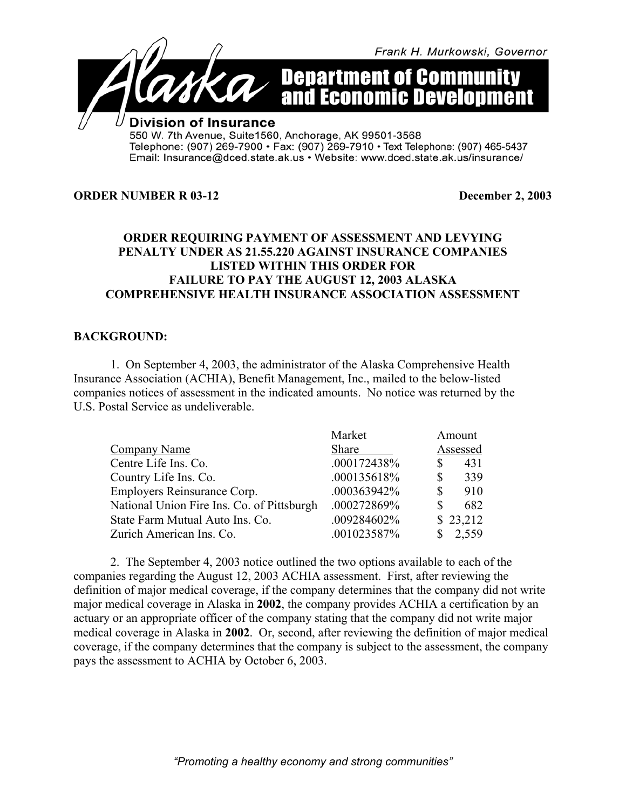

#### **ORDER NUMBER R 03-12** December 2, 2003

# **ORDER REQUIRING PAYMENT OF ASSESSMENT AND LEVYING PENALTY UNDER AS 21.55.220 AGAINST INSURANCE COMPANIES LISTED WITHIN THIS ORDER FOR FAILURE TO PAY THE AUGUST 12, 2003 ALASKA COMPREHENSIVE HEALTH INSURANCE ASSOCIATION ASSESSMENT**

## **BACKGROUND:**

1. On September 4, 2003, the administrator of the Alaska Comprehensive Health Insurance Association (ACHIA), Benefit Management, Inc., mailed to the below-listed companies notices of assessment in the indicated amounts. No notice was returned by the U.S. Postal Service as undeliverable.

|                                            | Market      | Amount              |
|--------------------------------------------|-------------|---------------------|
| Company Name                               | Share       | Assessed            |
| Centre Life Ins. Co.                       | .000172438% | 431<br>\$           |
| Country Life Ins. Co.                      | .000135618% | 339<br>$\mathbb{S}$ |
| Employers Reinsurance Corp.                | .000363942% | $\mathbb{S}$<br>910 |
| National Union Fire Ins. Co. of Pittsburgh | .000272869% | 682<br>$\mathbb{S}$ |
| State Farm Mutual Auto Ins. Co.            | .009284602% | \$23,212            |
| Zurich American Ins. Co.                   | .001023587% | 2,559               |

2. The September 4, 2003 notice outlined the two options available to each of the companies regarding the August 12, 2003 ACHIA assessment. First, after reviewing the definition of major medical coverage, if the company determines that the company did not write major medical coverage in Alaska in **2002**, the company provides ACHIA a certification by an actuary or an appropriate officer of the company stating that the company did not write major medical coverage in Alaska in **2002**. Or, second, after reviewing the definition of major medical coverage, if the company determines that the company is subject to the assessment, the company pays the assessment to ACHIA by October 6, 2003.